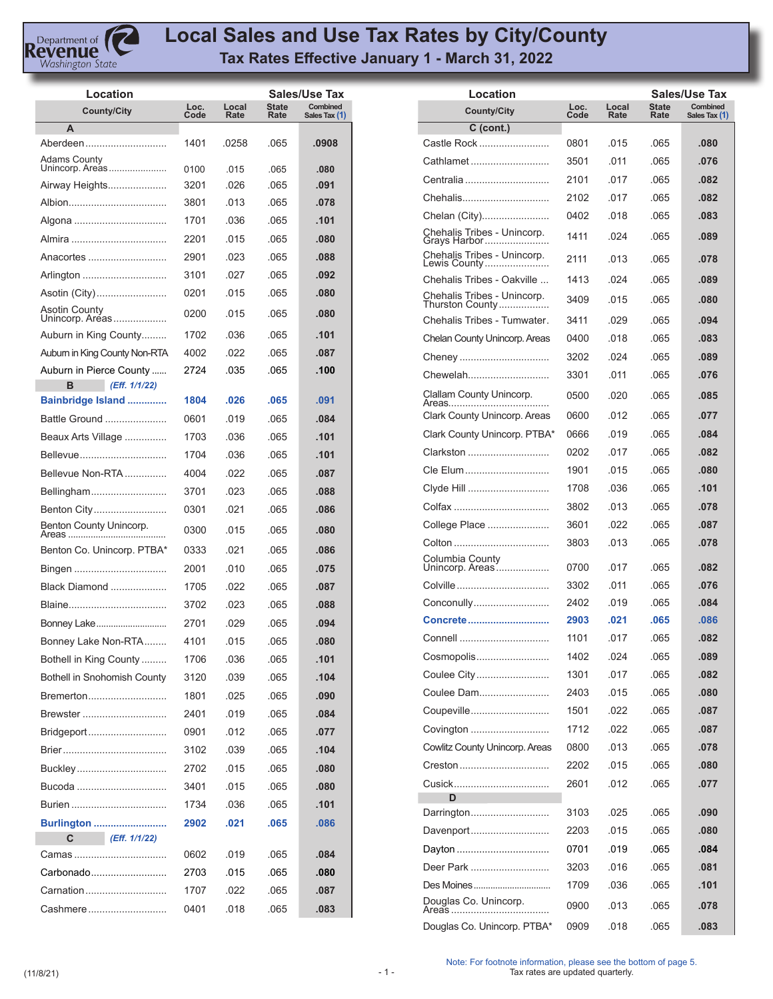

## **Local Sales and Use Tax Rates by City/County Tax Rates Effective January 1 - March 31, 2022**

| Location                              |              |               |               | Sales/Use Tax             |
|---------------------------------------|--------------|---------------|---------------|---------------------------|
| <b>County/City</b>                    | Loc.<br>Code | Local<br>Rate | State<br>Rate | Combined<br>Sales Tax (1) |
| А                                     |              |               |               |                           |
| Aberdeen                              | 1401         | .0258         | .065          | .0908                     |
| Adams County<br>Unincorp. Areas       | 0100         | .015          | .065          | .080                      |
| Airway Heights                        | 3201         | .026          | .065          | .091                      |
| Albion                                | 3801         | .013          | .065          | .078                      |
| Algona                                | 1701         | .036          | .065          | .101                      |
| Almira                                | 2201         | .015          | .065          | .080                      |
| Anacortes                             | 2901         | .023          | .065          | .088                      |
| Arlington                             | 3101         | .027          | .065          | .092                      |
| Asotin (City)                         | 0201         | .015          | .065          | .080                      |
| Asotin County<br>Unincorp. Areas      | 0200         | .015          | .065          | .080                      |
| Auburn in King County                 | 1702         | .036          | .065          | .101                      |
| Auburn in King County Non-RTA         | 4002         | .022          | .065          | .087                      |
| Auburn in Pierce County               | 2724         | .035          | .065          | .100                      |
| в<br>(Eff. 1/1/22)                    |              |               |               |                           |
| Bainbridge Island                     | 1804         | .026          | .065          | .091                      |
| Battle Ground                         | 0601         | .019          | .065          | .084                      |
| Beaux Arts Village                    | 1703         | .036          | .065          | .101                      |
| Bellevue                              | 1704         | .036          | .065          | .101                      |
| Bellevue Non-RTA                      | 4004         | .022          | .065          | .087                      |
| Bellingham                            | 3701         | .023          | .065          | .088                      |
| Benton City                           | 0301         | .021          | .065          | .086                      |
| Benton County Unincorp.<br>Areas<br>. | 0300         | .015          | .065          | .080                      |
| Benton Co. Unincorp. PTBA*            | 0333         | .021          | .065          | .086                      |
| Bingen                                | 2001         | .010          | .065          | .075                      |
| Black Diamond                         | 1705         | .022          | .065          | .087                      |
| Blaine                                | 3702         | .023          | .065          | .088                      |
| Bonney Lake                           | 2701         | .029          | .065          | .094                      |
| Bonney Lake Non-RTA                   | 4101         | .015          | .065          | .080                      |
| Bothell in King County                | 1706         | .036          | .065          | .101                      |
| <b>Bothell in Snohomish County</b>    | 3120         | .039          | .065          | .104                      |
| Bremerton                             | 1801         | .025          | .065          | .090                      |
| Brewster                              | 2401         | .019          | .065          | .084                      |
| Bridgeport                            | 0901         | .012          | .065          | .077                      |
|                                       | 3102         | .039          | .065          | .104                      |
| Buckley                               | 2702         | .015          | .065          | .080                      |
| Bucoda                                | 3401         | .015          | .065          | .080                      |
| Burien                                | 1734         | .036          | .065          | .101                      |
| <b>Burlington </b>                    | 2902         | .021          | .065          | .086                      |
| C<br>(Eff. 1/1/22)                    |              |               |               |                           |
| Camas                                 | 0602         | .019          | .065          | .084                      |
| Carbonado                             | 2703         | .015          | .065          | .080                      |
| Carnation                             | 1707         | .022          | .065          | .087                      |
| Cashmere                              | 0401         | .018          | .065          | .083                      |

| Location                                                    |              |               |                      | <b>Sales/Use Tax</b>      |
|-------------------------------------------------------------|--------------|---------------|----------------------|---------------------------|
| <b>County/City</b>                                          | Loc.<br>Code | Local<br>Rate | <b>State</b><br>Rate | Combined<br>Sales Tax (1) |
| $C$ (cont.)                                                 |              |               |                      |                           |
| Castle Rock                                                 | 0801         | .015          | .065                 | .080                      |
| Cathlamet                                                   | 3501         | .011          | .065                 | .076                      |
| Centralia                                                   | 2101         | .017          | .065                 | .082                      |
| Chehalis                                                    | 2102         | .017          | .065                 | .082                      |
| Chelan (City)                                               | 0402         | .018          | .065                 | .083                      |
| Chehalis Tribes - Unincorp.<br>Grays Harbor                 | 1411         | .024          | .065                 | .089                      |
| Chehalis Tribes - Unincorp.<br>Lewis County                 | 2111         | .013          | .065                 | .078                      |
| Chehalis Tribes - Oakville                                  | 1413         | .024          | .065                 | .089                      |
| Chehalis Tribes - Unincorp.<br>Thurston County <sup>.</sup> | 3409         | .015          | .065                 | .080                      |
| Chehalis Tribes - Tumwater.                                 | 3411         | .029          | .065                 | .094                      |
| Chelan County Unincorp. Areas                               | 0400         | .018          | .065                 | .083                      |
| Cheney                                                      | 3202         | .024          | .065                 | .089                      |
| Chewelah                                                    | 3301         | .011          | .065                 | .076                      |
| Clallam County Unincorp.<br>Areas                           | 0500         | .020          | .065                 | .085                      |
| Clark County Unincorp. Areas                                | 0600         | .012          | .065                 | .077                      |
| Clark County Unincorp. PTBA*                                | 0666         | .019          | .065                 | .084                      |
| Clarkston                                                   | 0202         | .017          | .065                 | .082                      |
| Cle Elum                                                    | 1901         | .015          | .065                 | .080                      |
| Clyde Hill                                                  | 1708         | .036          | .065                 | .101                      |
|                                                             | 3802         | .013          | .065                 | .078                      |
| College Place                                               | 3601         | .022          | .065                 | .087                      |
| Colton                                                      | 3803         | .013          | .065                 | .078                      |
| Columbia County<br>Unincorp. Areas                          | 0700         | .017          | .065                 | .082                      |
|                                                             | 3302         | .011          | .065                 | .076                      |
| Conconully                                                  | 2402         | .019          | .065                 | .084                      |
| Concrete                                                    | 2903         | .021          | .065                 | .086                      |
| Connell                                                     | 1101         | .017          | .065                 | .082                      |
| Cosmopolis                                                  | 1402         | .024          | .065                 | .089                      |
| Coulee City                                                 | 1301         | .017          | .065                 | .082                      |
| Coulee Dam                                                  | 2403         | .015          | .065                 | .080                      |
| Coupeville                                                  | 1501         | .022          | .065                 | .087                      |
| Covington                                                   | 1712         | .022          | .065                 | .087                      |
| Cowlitz County Unincorp. Areas                              | 0800         | .013          | .065                 | .078                      |
| Creston                                                     | 2202         | .015          | .065                 | .080                      |
| Cusick                                                      | 2601         | .012          | .065                 | .077                      |
| D                                                           |              |               |                      |                           |
| Darrington                                                  | 3103         | .025          | .065                 | .090                      |
| Davenport                                                   | 2203         | .015          | .065                 | .080                      |
|                                                             | 0701         | .019          | .065                 | .084                      |
| Deer Park                                                   | 3203         | .016          | .065                 | .081                      |
| Des Moines                                                  | 1709         | .036          | .065                 | .101                      |
| Douglas Co. Unincorp.<br>Areas                              | 0900         | .013          | .065                 | .078                      |
| Douglas Co. Unincorp. PTBA*                                 | 0909         | .018          | .065                 | .083                      |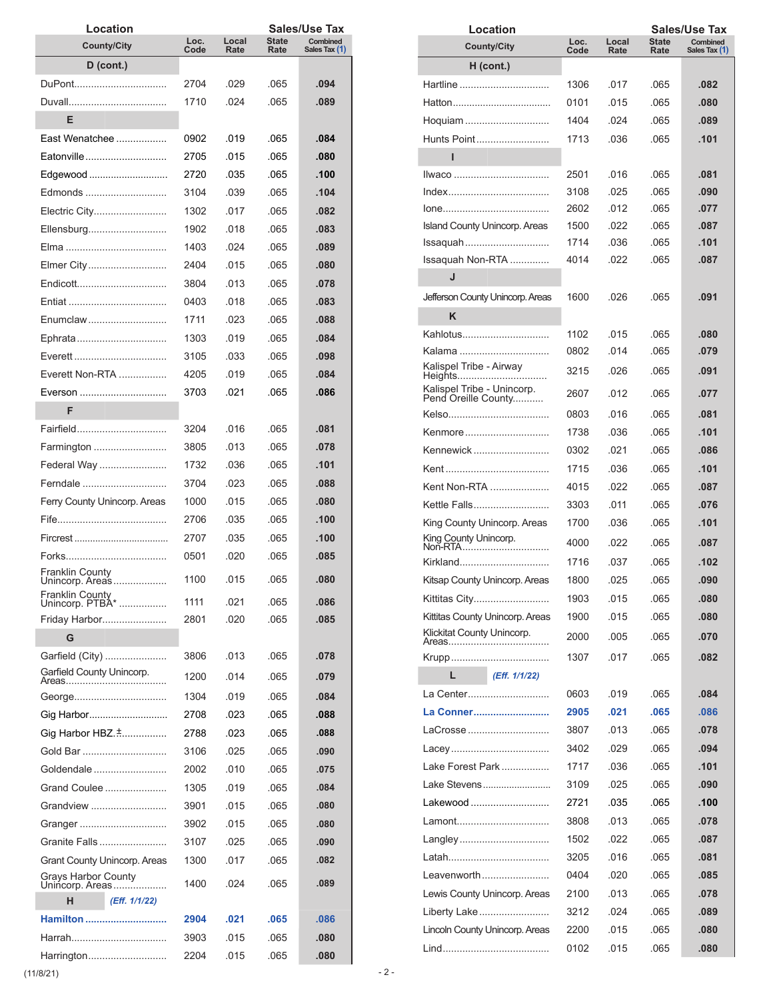| Location                                      |              |               |                      | Sales/Use Tax             |
|-----------------------------------------------|--------------|---------------|----------------------|---------------------------|
| <b>County/City</b>                            | Loc.<br>Code | Local<br>Rate | <b>State</b><br>Rate | Combined<br>Sales Tax (1) |
| $D$ (cont.)                                   |              |               |                      |                           |
| DuPont                                        | 2704         | .029          | .065                 | .094                      |
|                                               | 1710         | .024          | .065                 | .089                      |
| Е                                             |              |               |                      |                           |
| East Wenatchee                                | 0902         | .019          | .065                 | .084                      |
| Eatonville                                    | 2705         | .015          | .065                 | .080                      |
| Edgewood                                      | 2720         | .035          | .065                 | .100                      |
| Edmonds                                       | 3104         | .039          | .065                 | .104                      |
|                                               | 1302         | .017          | .065                 | .082                      |
| Ellensburg                                    | 1902         | .018          | .065                 | .083                      |
|                                               | 1403         | .024          | .065                 | .089                      |
|                                               | 2404         | .015          | .065                 | .080                      |
| Endicott                                      | 3804         | .013          | .065                 | .078                      |
|                                               | 0403         | .018          | .065                 | .083                      |
| Enumclaw                                      | 1711         | .023          | .065                 | .088                      |
|                                               | 1303         | .019          | .065                 | .084                      |
|                                               | 3105         | .033          | .065                 | .098                      |
| Everett Non-RTA                               |              | .019          | .065                 | .084                      |
|                                               | 4205         |               |                      |                           |
| Everson<br>F                                  | 3703         | .021          | .065                 | .086                      |
|                                               |              |               |                      |                           |
| Fairfield                                     | 3204         | .016          | .065                 | .081                      |
| Farmington                                    | 3805         | .013          | .065                 | .078                      |
| Federal Way                                   | 1732         | .036          | .065                 | .101                      |
| Ferndale                                      | 3704         | .023          | .065                 | .088                      |
| Ferry County Unincorp. Areas                  | 1000         | .015          | .065                 | .080                      |
|                                               | 2706         | .035          | .065                 | .100                      |
|                                               | 2707         | .035          | .065                 | .100                      |
|                                               | 0501         | .020          | .065                 | .085                      |
| Franklin County<br>/nincorp. Areas…           | 1100         | .015          | .065                 | .080                      |
| Franklin County<br>Unincorp. PTBA*            | 1111         | .021          | .065                 | .086                      |
| Friday Harbor                                 | 2801         | .020          | .065                 | .085                      |
| G                                             |              |               |                      |                           |
| Garfield (City)                               | 3806         | .013          | .065                 | .078                      |
| Garfield County Unincorp.                     | 1200         | .014          | .065                 | .079                      |
| Areas<br>.                                    |              |               |                      |                           |
| George                                        | 1304         | .019          | .065                 | .084                      |
| Gig Harbor                                    | 2708         | .023          | .065                 | .088                      |
| Gig Harbor HBZ.                               | 2788         | .023          | .065                 | .088                      |
| Gold Bar                                      | 3106         | .025          | .065                 | .090                      |
| Goldendale                                    | 2002         | .010          | .065                 | .075                      |
| Grand Coulee                                  | 1305         | .019          | .065                 | .084                      |
| Grandview                                     | 3901         | .015          | .065                 | .080                      |
| Granger                                       | 3902         | .015          | .065                 | .080                      |
| Granite Falls                                 | 3107         | .025          | .065                 | .090                      |
| Grant County Unincorp. Areas                  | 1300         | .017          | .065                 | .082                      |
| <b>Grays Harbor County</b><br>Unincorp. Areas | 1400         | .024          | .065                 | .089                      |
| н<br>(Eff. 1/1/22)                            |              |               |                      |                           |
| Hamilton                                      | 2904         | .021          | .065                 | .086                      |
|                                               | 3903         | .015          | .065                 | .080                      |
| Harrington                                    | 2204         | .015          | .065                 | .080                      |

| Location                                          |              |               |                      | Sales/Use Tax             |
|---------------------------------------------------|--------------|---------------|----------------------|---------------------------|
| <b>County/City</b>                                | Loc.<br>Code | Local<br>Rate | <b>State</b><br>Rate | Combined<br>Sales Tax (1) |
| $H$ (cont.)                                       |              |               |                      |                           |
| Hartline                                          | 1306         | .017          | .065                 | .082                      |
|                                                   | 0101         | .015          | .065                 | .080                      |
| Hoquiam                                           | 1404         | .024          | .065                 | .089                      |
| Hunts Point                                       | 1713         | .036          | .065                 | .101                      |
|                                                   |              |               |                      |                           |
| ı                                                 |              |               |                      |                           |
| <u>llwaco </u>                                    | 2501         | .016          | .065                 | .081                      |
|                                                   | 3108         | .025          | .065                 | .090                      |
|                                                   | 2602         | .012          | .065                 | .077                      |
| <b>Island County Unincorp. Areas</b>              | 1500         | .022          | .065                 | .087                      |
| Issaquah                                          | 1714         | .036          | .065                 | .101                      |
| Issaquah Non-RTA                                  | 4014         | .022          | .065                 | .087                      |
| J                                                 |              |               |                      |                           |
| Jefferson County Unincorp. Areas                  | 1600         | .026          | .065                 | .091                      |
| Κ                                                 |              |               |                      |                           |
| Kahlotus                                          | 1102         | .015          | .065                 | .080                      |
| Kalama                                            | 0802         | .014          | .065                 | .079                      |
| Kalispel Tribe - Airway<br>Heights                | 3215         | .026          | .065                 | .091                      |
| Kalispel Tribe - Unincorp.<br>Pend Oreille County | 2607         | .012          | .065                 | .077                      |
|                                                   | 0803         | .016          | .065                 | .081                      |
| Kenmore                                           | 1738         | .036          | .065                 | .101                      |
| Kennewick                                         | 0302         | .021          | .065                 | .086                      |
|                                                   | 1715         | .036          | .065                 | .101                      |
| Kent Non-RTA                                      | 4015         | .022          | .065                 | .087                      |
| Kettle Falls                                      | 3303         | .011          | .065                 | .076                      |
| King County Unincorp. Areas                       | 1700         | .036          | .065                 | .101                      |
| King County Unincorp.                             | 4000         |               |                      |                           |
| Non-RTA                                           |              | .022          | .065                 | .087                      |
| Kirkland                                          | 1716         | .037          | .065                 | .102                      |
| Kitsap County Unincorp. Areas                     | 1800         | .025          | .065                 | .090                      |
| Kittitas City                                     | 1903         | .015          | .065                 | .080                      |
| Kittitas County Unincorp. Areas                   | 1900         | .015          | .065                 | .080                      |
| Klickitat County Unincorp.                        | 2000         | .005          | .065                 | .070                      |
|                                                   | 1307         | .017          | .065                 | .082                      |
| L<br>(Eff. 1/1/22)                                |              |               |                      |                           |
| La Center                                         | 0603         | .019          | .065                 | .084                      |
| La Conner                                         | 2905         | .021          | .065                 | .086                      |
| LaCrosse                                          | 3807         | .013          | .065                 | .078                      |
|                                                   | 3402         | .029          | .065                 | .094                      |
| Lake Forest Park                                  | 1717         | .036          | .065                 | .101                      |
| Lake Stevens                                      | 3109         | .025          | .065                 | .090                      |
| Lakewood                                          | 2721         | .035          | .065                 | .100                      |
| Lamont                                            | 3808         | .013          | .065                 | .078                      |
| Langley                                           | 1502         | .022          | .065                 | .087                      |
|                                                   | 3205         | .016          | .065                 | .081                      |
|                                                   |              |               |                      |                           |
| Leavenworth                                       | 0404         | .020          | .065                 | .085                      |
| Lewis County Unincorp. Areas                      | 2100         | .013          | .065                 | .078                      |
| Liberty Lake                                      | 3212         | .024          | .065                 | .089                      |
| Lincoln County Unincorp. Areas                    | 2200         | .015          | .065                 | .080                      |
|                                                   | 0102         | .015          | .065                 | .080                      |

 $(11/8/21)$  - 2 -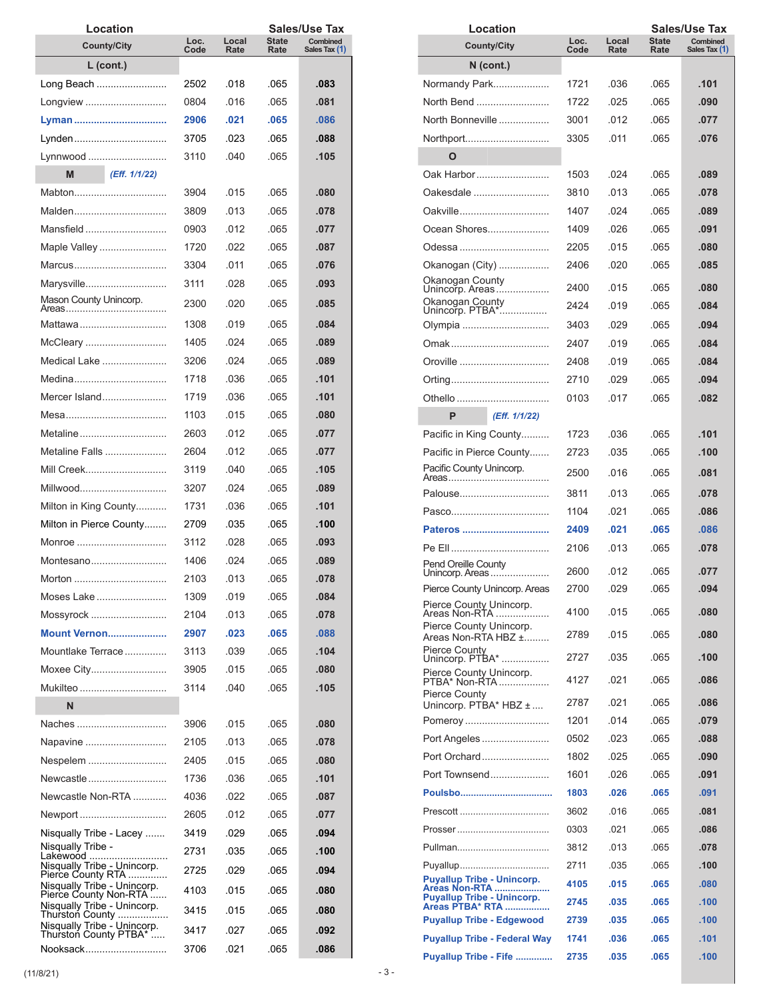| Location                                             |              |               |                      | Sales/Use Tax             |
|------------------------------------------------------|--------------|---------------|----------------------|---------------------------|
| <b>County/City</b>                                   | Loc.<br>Code | Local<br>Rate | <b>State</b><br>Rate | Combined<br>Sales Tax (1) |
| L (cont.)                                            |              |               |                      |                           |
| Long Beach                                           | 2502         | .018          | .065                 | .083                      |
| Longview                                             | 0804         | .016          | .065                 | .081                      |
| Lyman                                                | 2906         | .021          | .065                 | .086                      |
| Lynden                                               | 3705         | .023          | .065                 | .088                      |
| Lynnwood                                             | 3110         | .040          | .065                 | .105                      |
| M<br>(Eff. 1/1/22)                                   |              |               |                      |                           |
| Mabton                                               | 3904         | .015          | .065                 | .080                      |
| Malden                                               | 3809         | .013          | .065                 | .078                      |
| Mansfield                                            | 0903         | .012          | .065                 | .077                      |
| Maple Valley                                         | 1720         | .022          | .065                 | .087                      |
| Marcus                                               | 3304         | .011          | .065                 | .076                      |
| Marysville                                           | 3111         | .028          | .065                 | .093                      |
| Mason County Unincorp.                               | 2300         | .020          | .065                 | .085                      |
| Mattawa                                              | 1308         | .019          | .065                 | .084                      |
| McCleary                                             | 1405         | .024          | .065                 | .089                      |
| Medical Lake                                         | 3206         | .024          | .065                 | .089                      |
| Medina                                               | 1718         | .036          | .065                 | .101                      |
| Mercer Island                                        | 1719         | .036          | .065                 | .101                      |
|                                                      | 1103         | .015          | .065                 | .080                      |
| Metaline                                             | 2603         | .012          | .065                 | .077                      |
| Metaline Falls                                       | 2604         | .012          | .065                 | .077                      |
| Mill Creek                                           | 3119         | .040          | .065                 | .105                      |
| Millwood                                             | 3207         | .024          | .065                 | .089                      |
| Milton in King County                                | 1731         | .036          | .065                 | .101                      |
| Milton in Pierce County                              | 2709         | .035          | .065                 | .100                      |
| Monroe                                               | 3112         | .028          | .065                 | .093                      |
| Montesano                                            | 1406         | .024          | .065                 | .089                      |
| Morton                                               | 2103         | .013          | .065                 | .078                      |
| Moses Lake                                           | 1309         | .019          | .065                 | .084                      |
| Mossyrock                                            | 2104         | .013          | .065                 | .078                      |
| <b>Mount Vernon</b>                                  | 2907         | .023          | .065                 | .088                      |
| Mountlake Terrace                                    | 3113         | .039          | .065                 | .104                      |
| Moxee City                                           | 3905         | .015          | .065                 | .080                      |
| Mukilteo                                             | 3114         | .040          | .065                 | .105                      |
| N                                                    |              |               |                      |                           |
| Naches                                               | 3906         | .015          | .065                 | .080                      |
| Napavine                                             | 2105         | .013          | .065                 | .078                      |
| Nespelem                                             | 2405         | .015          | .065                 | .080                      |
| Newcastle                                            | 1736         | .036          | .065                 | .101                      |
| Newcastle Non-RTA                                    | 4036         | .022          | .065                 | .087                      |
| Newport                                              | 2605         | .012          | .065                 | .077                      |
| Nisqually Tribe - Lacey                              | 3419         | .029          | .065                 | .094                      |
| Nisqually Tribe -                                    | 2731         | .035          | .065                 | .100                      |
| Lakewood<br>Nisqually Tribe - Unincorp.              | 2725         | .029          | .065                 | .094                      |
| Pierce County RTA<br>Nisqually Tribe - Unincorp.     | 4103         | .015          | .065                 | .080                      |
| Pierce County Non-RTA<br>Nisqually Tribe - Unincorp. |              |               |                      |                           |
| Thurston County                                      | 3415         | .015          | .065                 | .080                      |
| Nisqually Tribe - Unincorp.<br>Thurston County PTBA* | 3417         | .027          | .065                 | .092                      |
| Nooksack                                             | 3706         | .021          | .065                 | .086                      |

| Location                                             |              |               |               | Sales/Use Tax             |
|------------------------------------------------------|--------------|---------------|---------------|---------------------------|
| <b>County/City</b>                                   | Loc.<br>Code | Local<br>Rate | State<br>Rate | Combined<br>Sales Tax (1) |
| $N$ (cont.)                                          |              |               |               |                           |
| Normandy Park                                        | 1721         | .036          | .065          | .101                      |
| North Bend                                           | 1722         | .025          | .065          | .090                      |
| North Bonneville                                     | 3001         | .012          | .065          | .077                      |
| Northport                                            | 3305         | .011          | .065          | .076                      |
| Ο                                                    |              |               |               |                           |
| Oak Harbor                                           | 1503         | .024          | .065          | .089                      |
| Oakesdale                                            | 3810         | .013          | .065          | .078                      |
| Oakville                                             | 1407         | .024          | .065          | .089                      |
| Ocean Shores                                         | 1409         | .026          | .065          | .091                      |
|                                                      |              | .015          |               |                           |
| Odessa                                               | 2205         |               | .065          | .080                      |
| Okanogan (City)<br>Okanogan County                   | 2406         | .020          | .065          | .085                      |
| Unincorp. Areas…                                     | 2400         | .015          | .065          | .080                      |
| Okanogan County<br>Unincorp. PTBA*                   | 2424         | .019          | .065          | .084                      |
| Olympia                                              | 3403         | .029          | .065          | .094                      |
|                                                      | 2407         | .019          | .065          | .084                      |
| Oroville                                             | 2408         | .019          | .065          | .084                      |
|                                                      | 2710         | .029          | .065          | .094                      |
|                                                      | 0103         | .017          | .065          | .082                      |
| P<br>(Eff. 1/1/22)                                   |              |               |               |                           |
| Pacific in King County                               | 1723         | .036          | .065          | .101                      |
| Pacific in Pierce County                             | 2723         | .035          | .065          | .100                      |
| Pacific County Unincorp.                             | 2500         | .016          | .065          | .081                      |
| Palouse                                              | 3811         | .013          | .065          | .078                      |
|                                                      | 1104         | .021          | .065          | .086                      |
| Pateros                                              | 2409         | .021          | .065          | .086                      |
|                                                      | 2106         | .013          | .065          | .078                      |
| Pend Oreille County<br>Unincorp. Areas               | 2600         | .012          | .065          | .077                      |
| Pierce County Unincorp. Areas                        | 2700         | 029.          | 065.          | .094                      |
| Pierce County Unincorp.                              | 4100         |               |               |                           |
| Areas Non-RTA ……….<br>Pierce County Unincorp.        |              | .015          | .065          | .080                      |
| Areas Non-RTA HBZ ±<br>Pierce County                 | 2789         | .015          | .065          | .080                      |
| Unincorp. PTBA*<br>Pierce County Unincorp.           | 2727         | .035          | .065          | .100                      |
| PTBA* Non-RTA<br><b>Pierce County</b>                | 4127         | .021          | .065          | .086                      |
| Unincorp. PTBA* HBZ ±                                | 2787         | .021          | .065          | .086                      |
| Pomeroy                                              | 1201         | .014          | .065          | .079                      |
| Port Angeles                                         | 0502         | .023          | .065          | .088                      |
| Port Orchard                                         | 1802         | .025          | .065          | .090                      |
| Port Townsend                                        | 1601         | .026          | .065          | .091                      |
|                                                      | 1803         | .026          | .065          | .091                      |
|                                                      | 3602         | .016          | .065          | .081                      |
|                                                      | 0303         | .021          | .065          | .086                      |
|                                                      | 3812         | .013          | .065          | .078                      |
|                                                      | 2711         | .035          | .065          | .100                      |
| <b>Puyallup Tribe - Unincorp.</b><br>Areas Non-RTA   | 4105         | .015          | .065          | .080                      |
| <b>Puyallup Tribe - Unincorp.</b><br>Areas PTBA* RTA | 2745         | .035          | .065          | .100                      |
| <b>Puyallup Tribe - Edgewood</b>                     | 2739         | .035          | .065          | .100                      |
| <b>Puyallup Tribe - Federal Way</b>                  | 1741         | .036          | .065          | .101                      |
| Puyallup Tribe - Fife                                | 2735         | .035          | .065          | .100                      |
|                                                      |              |               |               |                           |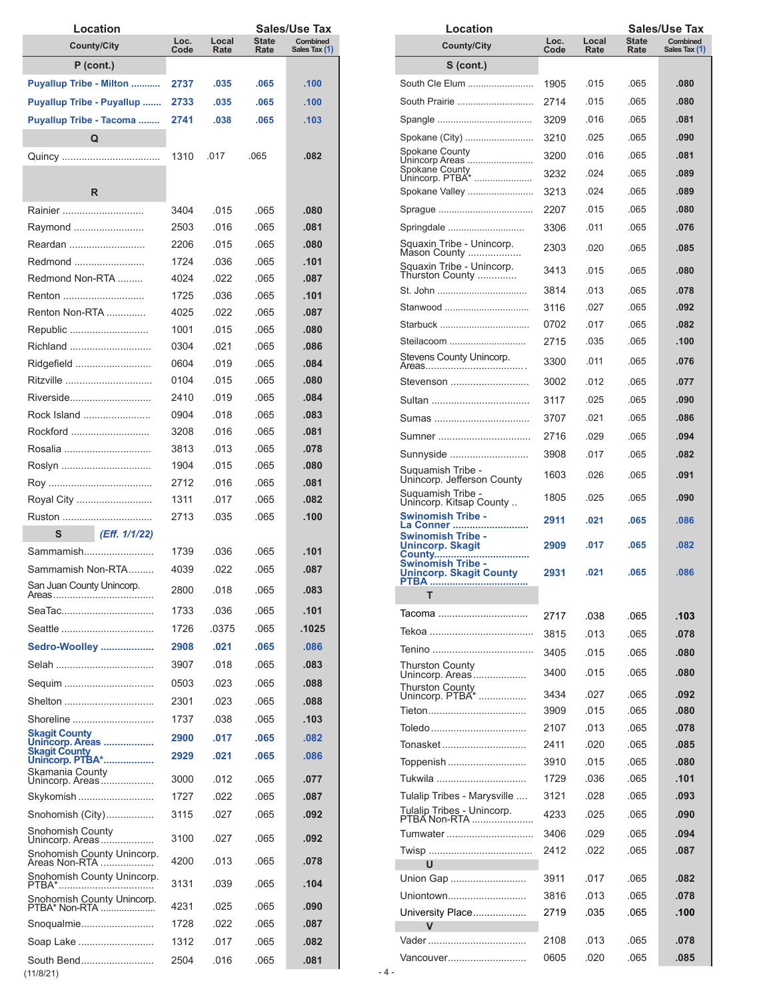| Location                                      |              |               |               | Sales/Use Tax             |
|-----------------------------------------------|--------------|---------------|---------------|---------------------------|
| <b>County/City</b>                            | Loc.<br>Code | Local<br>Rate | State<br>Rate | Combined<br>Sales Tax (1) |
| $P$ (cont.)                                   |              |               |               |                           |
| <b>Puyallup Tribe - Milton </b>               | 2737         | .035          | .065          | .100                      |
| <b>Puyallup Tribe - Puyallup </b>             | 2733         | .035          | .065          | .100                      |
| Puyallup Tribe - Tacoma                       | 2741         | .038          | .065          | .103                      |
| Q                                             |              |               |               |                           |
|                                               | 1310         | .017          | .065          | .082                      |
|                                               |              |               |               |                           |
| R                                             |              |               |               |                           |
| Rainier                                       | 3404         | .015          | .065          | .080                      |
| Raymond                                       | 2503         | .016          | .065          | .081                      |
| Reardan                                       | 2206         | .015          | .065          | .080                      |
| Redmond                                       | 1724         | .036          | .065          | .101                      |
| Redmond Non-RTA                               | 4024         | .022          | .065          | .087                      |
| Renton                                        | 1725         | .036          | .065          | .101                      |
| Renton Non-RTA                                | 4025         | .022          | .065          | .087                      |
| Republic                                      | 1001         | .015          | .065          | .080                      |
| Richland                                      | 0304         | .021          | .065          | .086                      |
| Ridgefield                                    | 0604         | .019          | .065          | .084                      |
| Ritzville                                     | 0104         | .015          | .065          | .080                      |
| Riverside                                     | 2410         | .019          | .065          | .084                      |
| Rock Island                                   | 0904         | .018          | .065          | .083                      |
| Rockford                                      | 3208         | .016          | .065          | .081                      |
| Rosalia                                       | 3813         | .013          | .065          | .078                      |
|                                               | 1904         | .015          | .065          | .080                      |
|                                               | 2712<br>1311 | .016<br>.017  | .065<br>.065  | .081<br>.082              |
| Royal City<br>Ruston                          | 2713         | .035          | .065          | .100                      |
| S<br>(Eff. 1/1/22)                            |              |               |               |                           |
| Sammamish                                     | 1739         | .036          | .065          | .101                      |
| Sammamish Non-RTA                             | 4039         | .022          | .065          | .087                      |
| San Juan County Unincorp.                     |              |               |               |                           |
|                                               | 2800         | .018          | .065          | .083                      |
| SeaTac                                        | 1733         | .036          | .065          | .101                      |
|                                               | 1726         | .0375         | .065          | .1025                     |
| Sedro-Woolley                                 | 2908         | .021          | .065          | .086                      |
| Selah                                         | 3907         | .018          | .065          | .083                      |
| Sequim                                        | 0503         | .023          | .065          | .088                      |
| Shelton                                       | 2301         | .023          | .065          | .088                      |
| Shoreline                                     | 1737         | .038          | .065          | .103                      |
| <b>Skagit County</b><br>Unincorp. Areas       | 2900         | .017          | .065          | .082                      |
| <b>Skagit County</b><br>Unincorp. PTBA*       | 2929         | .021          | .065          | .086                      |
| Skamania County<br>Unincorp. Areas            | 3000         | .012          | .065          | .077                      |
| Skykomish                                     | 1727         | .022          | .065          | .087                      |
| Snohomish (City)                              | 3115         | .027          | .065          | .092                      |
| Snohomish County                              | 3100         | .027          | .065          | .092                      |
| Unincorp. Areas<br>Snohomish County Unincorp. |              |               |               |                           |
|                                               | 4200         | .013          | .065          | .078                      |
| Snohomish County Unincorp.<br>PTBA*           | 3131         | .039          | .065          | .104                      |
| Snohomish County Unincorp.<br>PTBA* Non-RTA   | 4231         | .025          | .065          | .090                      |
| Snoqualmie                                    | 1728         | .022          | .065          | .087                      |
| Soap Lake                                     | 1312         | .017          | .065          | .082                      |
| South Bend                                    | 2504         | .016          | .065          | .081                      |

| Location                                                   |              |               |                      | Sales/Use Tax             |
|------------------------------------------------------------|--------------|---------------|----------------------|---------------------------|
| <b>County/City</b>                                         | Loc.<br>Code | Local<br>Rate | <b>State</b><br>Rate | Combined<br>Sales Tax (1) |
| $S$ (cont.)                                                |              |               |                      |                           |
| South Cle Elum                                             | 1905         | .015          | .065                 | .080                      |
| South Prairie                                              | 2714         | .015          | .065                 | .080                      |
|                                                            |              | .016          | .065                 | .081                      |
|                                                            | 3209         |               |                      |                           |
| Spokane (City)<br>Spokane County                           | 3210         | .025          | .065                 | .090                      |
| Unincorp Areas<br>Spokane County                           | 3200         | .016          | .065                 | .081                      |
| Unincorp. PTBA*                                            | 3232         | .024          | .065                 | .089                      |
| Spokane Valley                                             | 3213         | .024          | .065                 | .089                      |
|                                                            | 2207         | .015          | .065                 | .080                      |
| Springdale                                                 | 3306         | .011          | .065                 | .076                      |
| Squaxin Tribe - Unincorp.<br>Mason County                  | 2303         | .020          | .065                 | .085                      |
| Squaxin Tribe - Unincorp.<br>Thurston County               | 3413         | .015          | .065                 | .080                      |
| St. John                                                   | 3814         | .013          | .065                 | .078                      |
| Stanwood                                                   | 3116         | .027          | .065                 | .092                      |
| Starbuck                                                   | 0702         | .017          | .065                 | .082                      |
| Steilacoom                                                 | 2715         | .035          | .065                 | .100                      |
| Stevens County Unincorp.                                   | 3300         | .011          | .065                 | .076                      |
| Stevenson                                                  | 3002         | .012          | .065                 | .077                      |
| Sultan                                                     | 3117         | .025          | .065                 | .090                      |
| Sumas                                                      | 3707         | .021          | .065                 | .086                      |
| Sumner                                                     | 2716         | .029          | .065                 | .094                      |
| Sunnyside                                                  | 3908         | .017          | .065                 | .082                      |
| Suquamish Tribe -<br>Unincorp. Jefferson County            | 1603         | .026          | .065                 | .091                      |
| Suquamish Tribe -<br>Unincorp. Kitsap County               | 1805         | .025          | .065                 | .090                      |
| <b>Swinomish Tribe -</b><br>La Conner                      | 2911         | .021          | .065                 | .086                      |
| Swinomish Tribe -<br>Unincorp. Skagit<br>County<br>.       | 2909         | .017          | .065                 | .082                      |
| <b>Swinomish Tribe -</b><br><b>Unincorp. Skagit County</b> | 2931         | .021          | .065                 | .086                      |
|                                                            |              |               |                      |                           |
| Тасота                                                     | 2717         | .038          | .065                 | .103                      |
|                                                            | 3815         | .013          | .065                 | .078                      |
|                                                            | 3405         | .015          | .065                 | .080                      |
| Thurston County<br>Unincorp. Areas                         | 3400         | .015          | .065                 | .080                      |
| Thurston County<br>Unincorp. PTBA*                         | 3434         | .027          | .065                 | .092                      |
| Tieton                                                     | 3909         | .015          | .065                 | .080                      |
| Toledo                                                     | 2107         | .013          | .065                 | .078                      |
| Tonasket                                                   | 2411         | .020          | .065                 | .085                      |
| Toppenish                                                  | 3910         | .015          | .065                 | .080                      |
| Tukwila                                                    | 1729         | .036          | .065                 | .101                      |
| Tulalip Tribes - Marysville                                | 3121         | .028          | .065                 | .093                      |
| Tulalip Tribes - Unincorp.<br>PTBA Non-RTA                 | 4233         | .025          | .065                 | .090                      |
|                                                            |              |               |                      |                           |
| Tumwater                                                   | 3406         | .029          | .065                 | .094                      |
| U                                                          | 2412         | .022          | .065                 | .087                      |
| Union Gap                                                  | 3911         | .017          | .065                 | .082                      |
| Uniontown                                                  | 3816         | .013          | .065                 | .078                      |
| University Place                                           | 2719         | .035          | .065                 | .100                      |
|                                                            |              |               |                      |                           |
|                                                            | 2108         | .013          | .065                 | .078                      |
| Vancouver                                                  | 0605         | .020          | .065                 | .085                      |